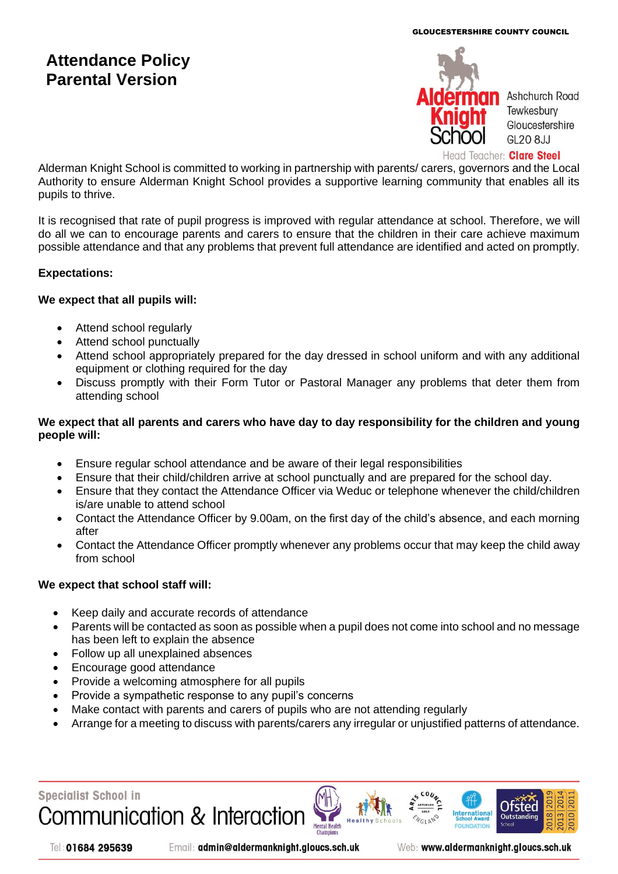# **Attendance Policy Parental Version**



# ead Teacher: Clare Steel

Alderman Knight School is committed to working in partnership with parents/ carers, governors and the Local Authority to ensure Alderman Knight School provides a supportive learning community that enables all its pupils to thrive.

It is recognised that rate of pupil progress is improved with regular attendance at school. Therefore, we will do all we can to encourage parents and carers to ensure that the children in their care achieve maximum possible attendance and that any problems that prevent full attendance are identified and acted on promptly.

# **Expectations:**

# **We expect that all pupils will:**

- Attend school regularly
- Attend school punctually
- Attend school appropriately prepared for the day dressed in school uniform and with any additional equipment or clothing required for the day
- Discuss promptly with their Form Tutor or Pastoral Manager any problems that deter them from attending school

# **We expect that all parents and carers who have day to day responsibility for the children and young people will:**

- Ensure regular school attendance and be aware of their legal responsibilities
- Ensure that their child/children arrive at school punctually and are prepared for the school day.
- Ensure that they contact the Attendance Officer via Weduc or telephone whenever the child/children is/are unable to attend school
- Contact the Attendance Officer by 9.00am, on the first day of the child's absence, and each morning after
- Contact the Attendance Officer promptly whenever any problems occur that may keep the child away from school

# **We expect that school staff will:**

- Keep daily and accurate records of attendance
- Parents will be contacted as soon as possible when a pupil does not come into school and no message has been left to explain the absence
- Follow up all unexplained absences
- Encourage good attendance
- Provide a welcoming atmosphere for all pupils
- Provide a sympathetic response to any pupil's concerns
- Make contact with parents and carers of pupils who are not attending regularly
- Arrange for a meeting to discuss with parents/carers any irregular or unjustified patterns of attendance.

# **Specialist School in Communication & Interaction**



Email: admin@aldermanknight.gloucs.sch.uk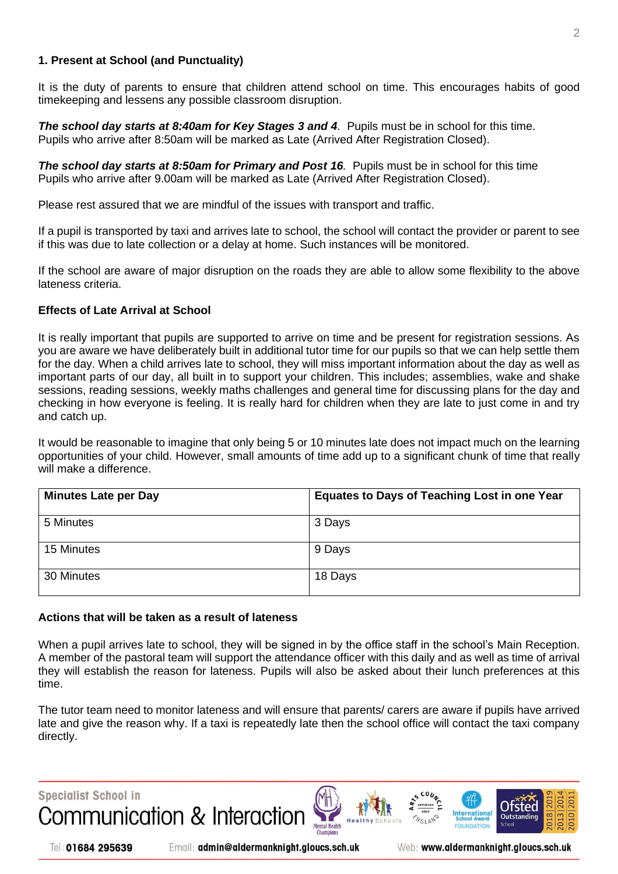# **1. Present at School (and Punctuality)**

It is the duty of parents to ensure that children attend school on time. This encourages habits of good timekeeping and lessens any possible classroom disruption.

*The school day starts at 8:40am for Key Stages 3 and 4.* Pupils must be in school for this time. Pupils who arrive after 8:50am will be marked as Late (Arrived After Registration Closed).

*The school day starts at 8:50am for Primary and Post 16.* Pupils must be in school for this time Pupils who arrive after 9.00am will be marked as Late (Arrived After Registration Closed).

Please rest assured that we are mindful of the issues with transport and traffic.

If a pupil is transported by taxi and arrives late to school, the school will contact the provider or parent to see if this was due to late collection or a delay at home. Such instances will be monitored.

If the school are aware of major disruption on the roads they are able to allow some flexibility to the above lateness criteria.

## **Effects of Late Arrival at School**

It is really important that pupils are supported to arrive on time and be present for registration sessions. As you are aware we have deliberately built in additional tutor time for our pupils so that we can help settle them for the day. When a child arrives late to school, they will miss important information about the day as well as important parts of our day, all built in to support your children. This includes; assemblies, wake and shake sessions, reading sessions, weekly maths challenges and general time for discussing plans for the day and checking in how everyone is feeling. It is really hard for children when they are late to just come in and try and catch up.

It would be reasonable to imagine that only being 5 or 10 minutes late does not impact much on the learning opportunities of your child. However, small amounts of time add up to a significant chunk of time that really will make a difference.

| <b>Minutes Late per Day</b> | <b>Equates to Days of Teaching Lost in one Year</b> |
|-----------------------------|-----------------------------------------------------|
| 5 Minutes                   | 3 Days                                              |
| 15 Minutes                  | 9 Days                                              |
| 30 Minutes                  | 18 Days                                             |

# **Actions that will be taken as a result of lateness**

When a pupil arrives late to school, they will be signed in by the office staff in the school's Main Reception. A member of the pastoral team will support the attendance officer with this daily and as well as time of arrival they will establish the reason for lateness. Pupils will also be asked about their lunch preferences at this time.

The tutor team need to monitor lateness and will ensure that parents/ carers are aware if pupils have arrived late and give the reason why. If a taxi is repeatedly late then the school office will contact the taxi company directly.



Tel: 01684 295639

Email: admin@aldermanknight.gloucs.sch.uk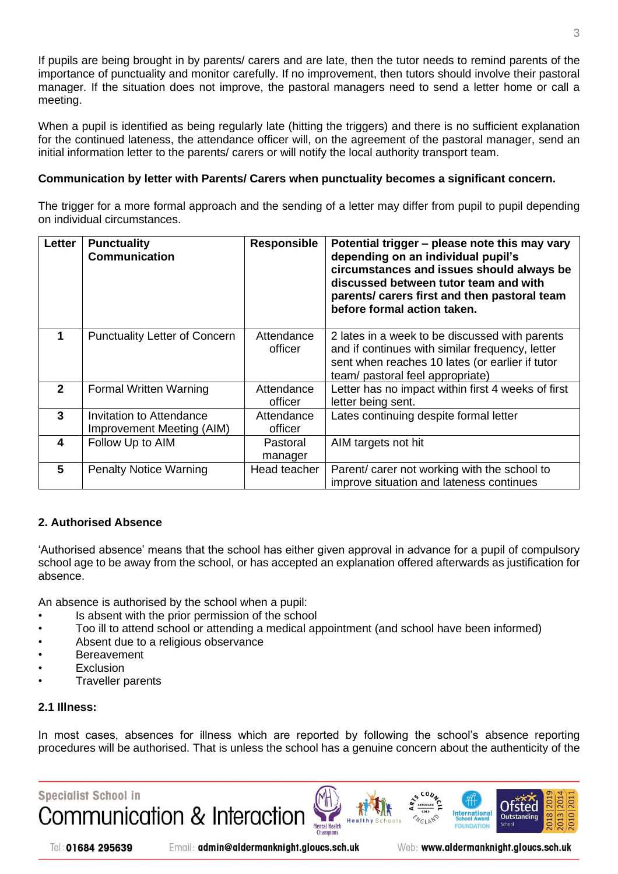If pupils are being brought in by parents/ carers and are late, then the tutor needs to remind parents of the importance of punctuality and monitor carefully. If no improvement, then tutors should involve their pastoral manager. If the situation does not improve, the pastoral managers need to send a letter home or call a meeting.

When a pupil is identified as being regularly late (hitting the triggers) and there is no sufficient explanation for the continued lateness, the attendance officer will, on the agreement of the pastoral manager, send an initial information letter to the parents/ carers or will notify the local authority transport team.

# **Communication by letter with Parents/ Carers when punctuality becomes a significant concern.**

The trigger for a more formal approach and the sending of a letter may differ from pupil to pupil depending on individual circumstances.

| Letter         | <b>Punctuality</b><br><b>Communication</b>            | <b>Responsible</b>    | Potential trigger - please note this may vary<br>depending on an individual pupil's<br>circumstances and issues should always be<br>discussed between tutor team and with<br>parents/ carers first and then pastoral team<br>before formal action taken. |  |
|----------------|-------------------------------------------------------|-----------------------|----------------------------------------------------------------------------------------------------------------------------------------------------------------------------------------------------------------------------------------------------------|--|
|                | <b>Punctuality Letter of Concern</b>                  | Attendance<br>officer | 2 lates in a week to be discussed with parents<br>and if continues with similar frequency, letter<br>sent when reaches 10 lates (or earlier if tutor<br>team/ pastoral feel appropriate)                                                                 |  |
| $\overline{2}$ | <b>Formal Written Warning</b>                         | Attendance<br>officer | Letter has no impact within first 4 weeks of first<br>letter being sent.                                                                                                                                                                                 |  |
| 3              | Invitation to Attendance<br>Improvement Meeting (AIM) | Attendance<br>officer | Lates continuing despite formal letter                                                                                                                                                                                                                   |  |
| 4              | Follow Up to AIM                                      | Pastoral<br>manager   | AIM targets not hit                                                                                                                                                                                                                                      |  |
| 5              | <b>Penalty Notice Warning</b>                         | Head teacher          | Parent/ carer not working with the school to<br>improve situation and lateness continues                                                                                                                                                                 |  |

# **2. Authorised Absence**

'Authorised absence' means that the school has either given approval in advance for a pupil of compulsory school age to be away from the school, or has accepted an explanation offered afterwards as justification for absence.

An absence is authorised by the school when a pupil:

- Is absent with the prior permission of the school
- Too ill to attend school or attending a medical appointment (and school have been informed)
- Absent due to a religious observance
- **Bereavement**
- **Exclusion**
- Traveller parents

# **2.1 Illness:**

In most cases, absences for illness which are reported by following the school's absence reporting procedures will be authorised. That is unless the school has a genuine concern about the authenticity of the



3

Tel: 01684 295639

Email: admin@aldermanknight.gloucs.sch.uk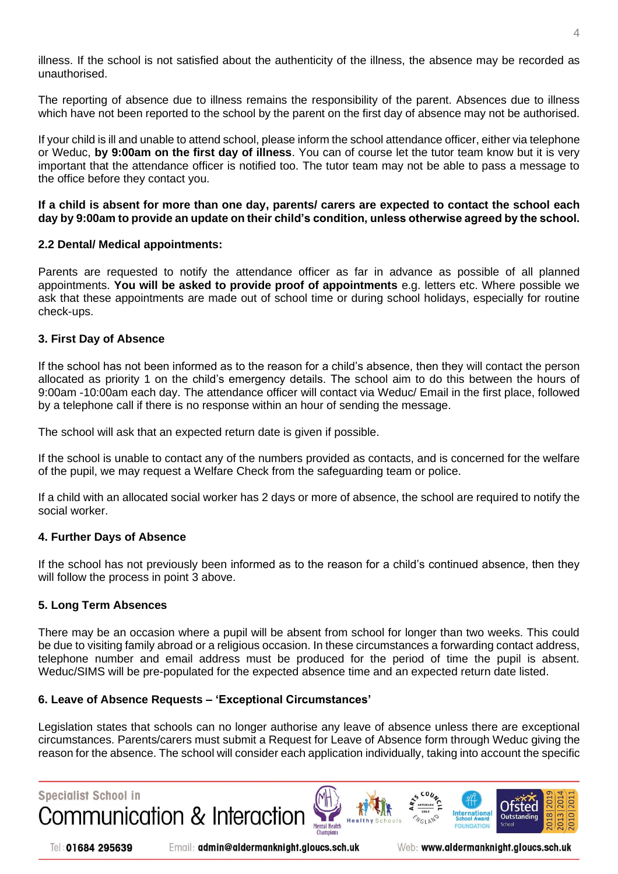illness. If the school is not satisfied about the authenticity of the illness, the absence may be recorded as unauthorised.

The reporting of absence due to illness remains the responsibility of the parent. Absences due to illness which have not been reported to the school by the parent on the first day of absence may not be authorised.

If your child is ill and unable to attend school, please inform the school attendance officer, either via telephone or Weduc, **by 9:00am on the first day of illness**. You can of course let the tutor team know but it is very important that the attendance officer is notified too. The tutor team may not be able to pass a message to the office before they contact you.

**If a child is absent for more than one day, parents/ carers are expected to contact the school each day by 9:00am to provide an update on their child's condition, unless otherwise agreed by the school.**

## **2.2 Dental/ Medical appointments:**

Parents are requested to notify the attendance officer as far in advance as possible of all planned appointments. **You will be asked to provide proof of appointments** e.g. letters etc. Where possible we ask that these appointments are made out of school time or during school holidays, especially for routine check-ups.

## **3. First Day of Absence**

If the school has not been informed as to the reason for a child's absence, then they will contact the person allocated as priority 1 on the child's emergency details. The school aim to do this between the hours of 9:00am -10:00am each day. The attendance officer will contact via Weduc/ Email in the first place, followed by a telephone call if there is no response within an hour of sending the message.

The school will ask that an expected return date is given if possible.

If the school is unable to contact any of the numbers provided as contacts, and is concerned for the welfare of the pupil, we may request a Welfare Check from the safeguarding team or police.

If a child with an allocated social worker has 2 days or more of absence, the school are required to notify the social worker.

### **4. Further Days of Absence**

If the school has not previously been informed as to the reason for a child's continued absence, then they will follow the process in point 3 above.

### **5. Long Term Absences**

There may be an occasion where a pupil will be absent from school for longer than two weeks. This could be due to visiting family abroad or a religious occasion. In these circumstances a forwarding contact address, telephone number and email address must be produced for the period of time the pupil is absent. Weduc/SIMS will be pre-populated for the expected absence time and an expected return date listed.

### **6. Leave of Absence Requests – 'Exceptional Circumstances'**

Legislation states that schools can no longer authorise any leave of absence unless there are exceptional circumstances. Parents/carers must submit a Request for Leave of Absence form through Weduc giving the reason for the absence. The school will consider each application individually, taking into account the specific



Email: admin@aldermanknight.gloucs.sch.uk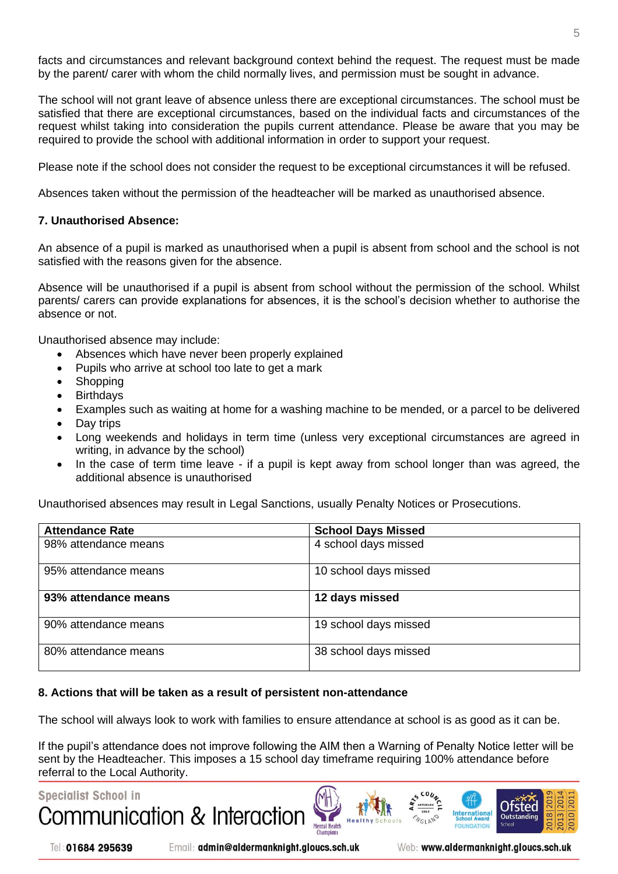facts and circumstances and relevant background context behind the request. The request must be made by the parent/ carer with whom the child normally lives, and permission must be sought in advance.

The school will not grant leave of absence unless there are exceptional circumstances. The school must be satisfied that there are exceptional circumstances, based on the individual facts and circumstances of the request whilst taking into consideration the pupils current attendance. Please be aware that you may be required to provide the school with additional information in order to support your request.

Please note if the school does not consider the request to be exceptional circumstances it will be refused.

Absences taken without the permission of the headteacher will be marked as unauthorised absence.

## **7. Unauthorised Absence:**

An absence of a pupil is marked as unauthorised when a pupil is absent from school and the school is not satisfied with the reasons given for the absence.

Absence will be unauthorised if a pupil is absent from school without the permission of the school. Whilst parents/ carers can provide explanations for absences, it is the school's decision whether to authorise the absence or not.

Unauthorised absence may include:

- Absences which have never been properly explained
- Pupils who arrive at school too late to get a mark
- Shopping
- **Birthdays**
- Examples such as waiting at home for a washing machine to be mended, or a parcel to be delivered
- Day trips
- Long weekends and holidays in term time (unless very exceptional circumstances are agreed in writing, in advance by the school)
- In the case of term time leave if a pupil is kept away from school longer than was agreed, the additional absence is unauthorised

Unauthorised absences may result in Legal Sanctions, usually Penalty Notices or Prosecutions.

| <b>Attendance Rate</b> | <b>School Days Missed</b> |
|------------------------|---------------------------|
| 98% attendance means   | 4 school days missed      |
| 95% attendance means   | 10 school days missed     |
| 93% attendance means   | 12 days missed            |
| 90% attendance means   | 19 school days missed     |
| 80% attendance means   | 38 school days missed     |

### **8. Actions that will be taken as a result of persistent non-attendance**

The school will always look to work with families to ensure attendance at school is as good as it can be.

If the pupil's attendance does not improve following the AIM then a Warning of Penalty Notice letter will be sent by the Headteacher. This imposes a 15 school day timeframe requiring 100% attendance before referral to the Local Authority.

Mental Health

# **Specialist School in** ommunication & Interaction:



Email: admin@aldermanknight.gloucs.sch.uk

International

Otsted